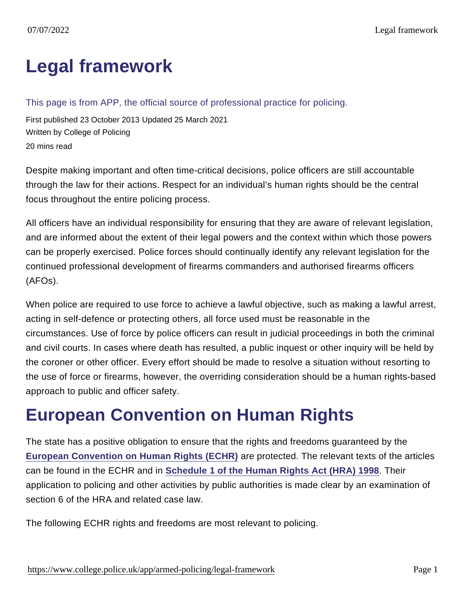# [Legal framework](https://www.college.police.uk/app/armed-policing/legal-framework)

This page is from APP, the official source of professional practice for policing.

First published 23 October 2013 Updated 25 March 2021 Written by College of Policing 20 mins read

Despite making important and often time-critical decisions, police officers are still accountable through the law for their actions. Respect for an individual's human rights should be the central focus throughout the entire policing process.

All officers have an individual responsibility for ensuring that they are aware of relevant legislation, and are informed about the extent of their legal powers and the context within which those powers can be properly exercised. Police forces should continually identify any relevant legislation for the continued professional development of firearms commanders and authorised firearms officers (AFOs).

When police are required to use force to achieve a lawful objective, such as making a lawful arrest, acting in self-defence or protecting others, all force used must be reasonable in the circumstances. Use of force by police officers can result in judicial proceedings in both the criminal and civil courts. In cases where death has resulted, a public inquest or other inquiry will be held by the coroner or other officer. Every effort should be made to resolve a situation without resorting to the use of force or firearms, however, the overriding consideration should be a human rights-based approach to public and officer safety.

# European Convention on Human Rights

The state has a positive obligation to ensure that the rights and freedoms guaranteed by the [European Convention on Human Rights \(ECHR\)](https://www.echr.coe.int/Documents/Convention_ENG.pdf) are protected. The relevant texts of the articles can be found in the ECHR and in [Schedule 1 of the Human Rights Act \(HRA\) 1998](https://www.legislation.gov.uk/ukpga/1998/42/schedule/1) . Their application to policing and other activities by public authorities is made clear by an examination of section 6 of the HRA and related case law.

The following ECHR rights and freedoms are most relevant to policing.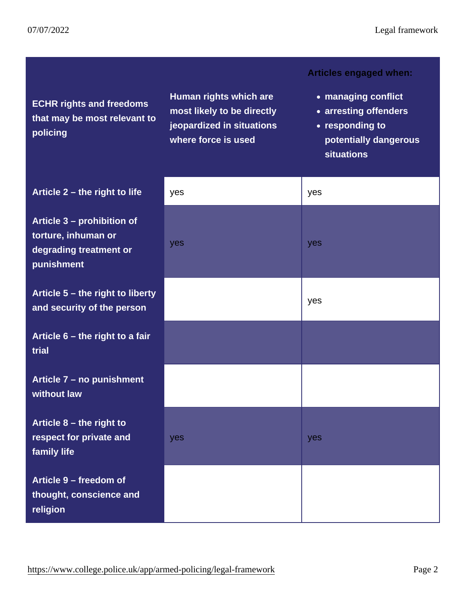| <b>ECHR</b> rights and freedoms<br>that may be most relevant to<br>policing               | Human rights which are<br>most likely to be directly<br>jeopardized in situations<br>where force is used | Articles engaged when:<br>• managing conflict<br>• arresting offenders<br>• responding to<br>potentially dangerous<br>situations |
|-------------------------------------------------------------------------------------------|----------------------------------------------------------------------------------------------------------|----------------------------------------------------------------------------------------------------------------------------------|
| Article $2 -$ the right to life                                                           | yes                                                                                                      | yes                                                                                                                              |
| Article 3 – prohibition of<br>torture, inhuman or<br>degrading treatment or<br>punishment | yes                                                                                                      | yes                                                                                                                              |
| Article $5$ – the right to liberty<br>and security of the person                          |                                                                                                          | yes                                                                                                                              |
| Article $6$ – the right to a fair<br>trial                                                |                                                                                                          |                                                                                                                                  |
| Article 7 - no punishment<br>without law                                                  |                                                                                                          |                                                                                                                                  |
| Article $8$ – the right to<br>respect for private and<br>family life                      | yes                                                                                                      | yes                                                                                                                              |
| Article 9 – freedom of<br>thought, conscience and<br>religion                             |                                                                                                          |                                                                                                                                  |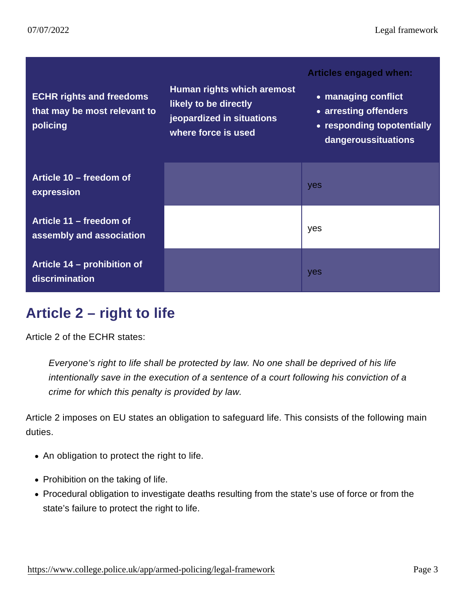| <b>ECHR</b> rights and freedoms<br>that may be most relevant to<br>policing | Human rights which are most<br>likely to be directly<br>jeopardized in situations<br>where force is used | Articles engaged when:<br>• managing conflict<br>• arresting offenders<br>• responding to potentially<br>dangerous situations |
|-----------------------------------------------------------------------------|----------------------------------------------------------------------------------------------------------|-------------------------------------------------------------------------------------------------------------------------------|
| Article $10 -$ freedom of<br>expression                                     |                                                                                                          | yes                                                                                                                           |
| Article $11 -$ freedom of<br>assembly and association                       |                                                                                                          | yes                                                                                                                           |
| Article $14$ – prohibition of<br>discrimination                             |                                                                                                          | yes                                                                                                                           |

### Article 2 – right to life

Article 2 of the ECHR states:

Everyone's right to life shall be protected by law. No one shall be deprived of his life intentionally save in the execution of a sentence of a court following his conviction of a crime for which this penalty is provided by law.

Article 2 imposes on EU states an obligation to safeguard life. This consists of the following main duties.

- An obligation to protect the right to life.
- Prohibition on the taking of life.
- Procedural obligation to investigate deaths resulting from the state's use of force or from the state's failure to protect the right to life.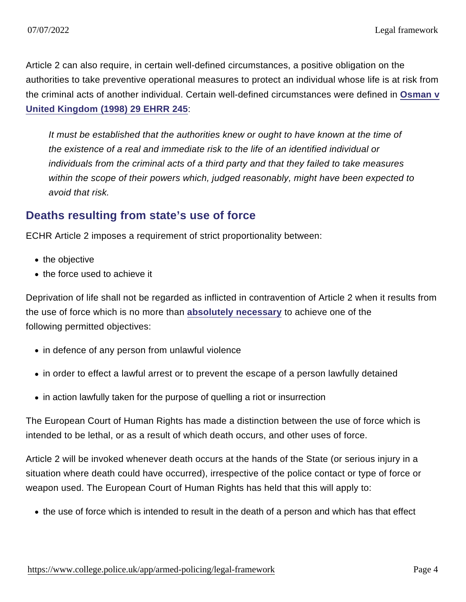Article 2 can also require, in certain well-defined circumstances, a positive obligation on the authorities to take preventive operational measures to protect an individual whose life is at risk from the criminal acts of another individual. Certain well-defined circumstances were defined in [Osman v](http://www.bailii.org/eu/cases/ECHR/1998/101.html) [United Kingdom \(1998\) 29 EHRR 245](http://www.bailii.org/eu/cases/ECHR/1998/101.html) :

It must be established that the authorities knew or ought to have known at the time of the existence of a real and immediate risk to the life of an identified individual or individuals from the criminal acts of a third party and that they failed to take measures within the scope of their powers which, judged reasonably, might have been expected to avoid that risk.

#### Deaths resulting from state's use of force

ECHR Article 2 imposes a requirement of strict proportionality between:

- the objective
- the force used to achieve it

Deprivation of life shall not be regarded as inflicted in contravention of Article 2 when it results from the use of force which is no more than [absolutely necessary](https://www.college.police.uk/guidance/armed-policing/legal-framework#absolutely-necessary) to achieve one of the following permitted objectives:

- in defence of any person from unlawful violence
- in order to effect a lawful arrest or to prevent the escape of a person lawfully detained
- in action lawfully taken for the purpose of quelling a riot or insurrection

The European Court of Human Rights has made a distinction between the use of force which is intended to be lethal, or as a result of which death occurs, and other uses of force.

Article 2 will be invoked whenever death occurs at the hands of the State (or serious injury in a situation where death could have occurred), irrespective of the police contact or type of force or weapon used. The European Court of Human Rights has held that this will apply to:

the use of force which is intended to result in the death of a person and which has that effect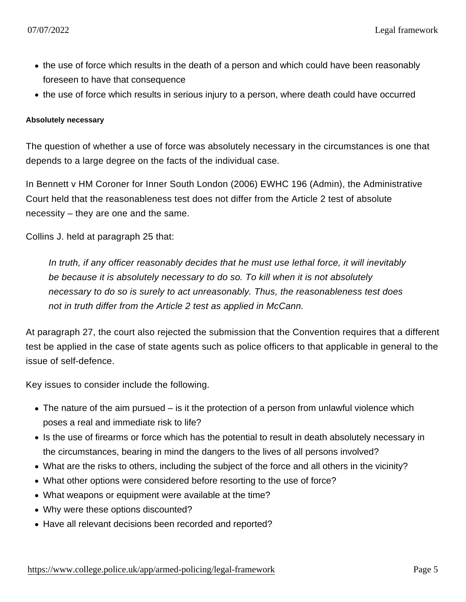- the use of force which results in the death of a person and which could have been reasonably foreseen to have that consequence
- the use of force which results in serious injury to a person, where death could have occurred

Absolutely necessary

The question of whether a use of force was absolutely necessary in the circumstances is one that depends to a large degree on the facts of the individual case.

In Bennett v HM Coroner for Inner South London (2006) EWHC 196 (Admin), the Administrative Court held that the reasonableness test does not differ from the Article 2 test of absolute necessity – they are one and the same.

Collins J. held at paragraph 25 that:

In truth, if any officer reasonably decides that he must use lethal force, it will inevitably be because it is absolutely necessary to do so. To kill when it is not absolutely necessary to do so is surely to act unreasonably. Thus, the reasonableness test does not in truth differ from the Article 2 test as applied in McCann.

At paragraph 27, the court also rejected the submission that the Convention requires that a different test be applied in the case of state agents such as police officers to that applicable in general to the issue of self-defence.

Key issues to consider include the following.

- The nature of the aim pursued is it the protection of a person from unlawful violence which poses a real and immediate risk to life?
- Is the use of firearms or force which has the potential to result in death absolutely necessary in the circumstances, bearing in mind the dangers to the lives of all persons involved?
- What are the risks to others, including the subject of the force and all others in the vicinity?
- What other options were considered before resorting to the use of force?
- What weapons or equipment were available at the time?
- Why were these options discounted?
- Have all relevant decisions been recorded and reported?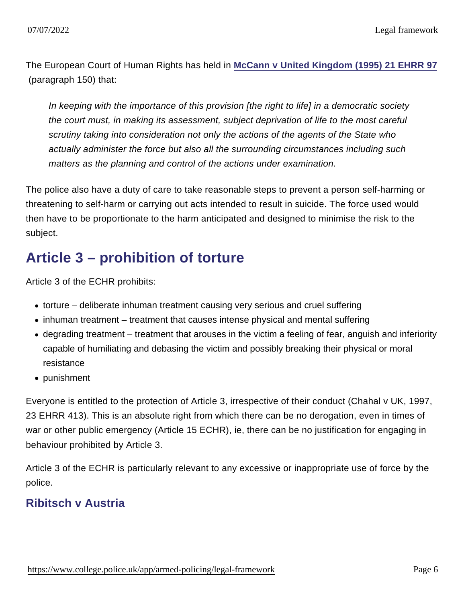The European Court of Human Rights has held in [McCann v United Kingdom \(1995\) 21 EHRR 97](http://hudoc.echr.coe.int/sites/eng/pages/search.aspx?i=001-57943) (paragraph 150) that:

In keeping with the importance of this provision [the right to life] in a democratic society the court must, in making its assessment, subject deprivation of life to the most careful scrutiny taking into consideration not only the actions of the agents of the State who actually administer the force but also all the surrounding circumstances including such matters as the planning and control of the actions under examination.

The police also have a duty of care to take reasonable steps to prevent a person self-harming or threatening to self-harm or carrying out acts intended to result in suicide. The force used would then have to be proportionate to the harm anticipated and designed to minimise the risk to the subject.

## Article 3 – prohibition of torture

Article 3 of the ECHR prohibits:

- torture deliberate inhuman treatment causing very serious and cruel suffering
- inhuman treatment treatment that causes intense physical and mental suffering
- degrading treatment treatment that arouses in the victim a feeling of fear, anguish and inferiority capable of humiliating and debasing the victim and possibly breaking their physical or moral resistance
- punishment

Everyone is entitled to the protection of Article 3, irrespective of their conduct (Chahal v UK, 1997, 23 EHRR 413). This is an absolute right from which there can be no derogation, even in times of war or other public emergency (Article 15 ECHR), ie, there can be no justification for engaging in behaviour prohibited by Article 3.

Article 3 of the ECHR is particularly relevant to any excessive or inappropriate use of force by the police.

#### Ribitsch v Austria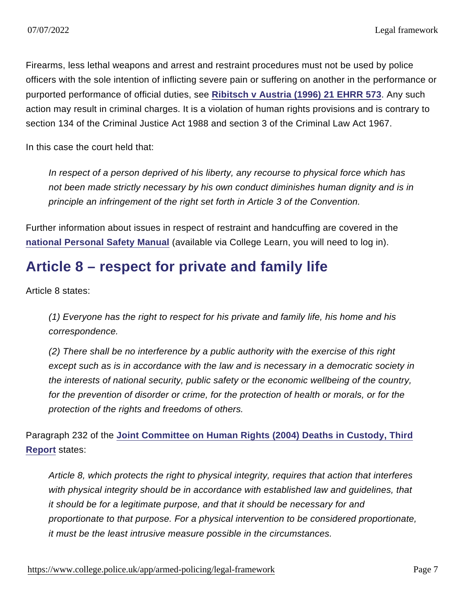Firearms, less lethal weapons and arrest and restraint procedures must not be used by police officers with the sole intention of inflicting severe pain or suffering on another in the performance or purported performance of official duties, see [Ribitsch v Austria \(1996\) 21 EHRR 573](http://www.bailii.org/eu/cases/ECHR/1995/55.html) . Any such action may result in criminal charges. It is a violation of human rights provisions and is contrary to section 134 of the Criminal Justice Act 1988 and section 3 of the Criminal Law Act 1967.

In this case the court held that:

In respect of a person deprived of his liberty, any recourse to physical force which has not been made strictly necessary by his own conduct diminishes human dignity and is in principle an infringement of the right set forth in Article 3 of the Convention.

Further information about issues in respect of restraint and handcuffing are covered in the [national Personal Safety Manual](http://mle.ncalt.pnn.police.uk/CourseContent/6060/PST.html) (available via College Learn, you will need to log in).

### Article 8 – respect for private and family life

Article 8 states:

(1) Everyone has the right to respect for his private and family life, his home and his correspondence.

(2) There shall be no interference by a public authority with the exercise of this right except such as is in accordance with the law and is necessary in a democratic society in the interests of national security, public safety or the economic wellbeing of the country, for the prevention of disorder or crime, for the protection of health or morals, or for the protection of the rights and freedoms of others.

Paragraph 232 of the [Joint Committee on Human Rights \(2004\) Deaths in Custody, Third](http://www.publications.parliament.uk/pa/jt200405/jtselect/jtrights/15/1502.htm) [Report](http://www.publications.parliament.uk/pa/jt200405/jtselect/jtrights/15/1502.htm) states:

Article 8, which protects the right to physical integrity, requires that action that interferes with physical integrity should be in accordance with established law and guidelines, that it should be for a legitimate purpose, and that it should be necessary for and proportionate to that purpose. For a physical intervention to be considered proportionate, it must be the least intrusive measure possible in the circumstances.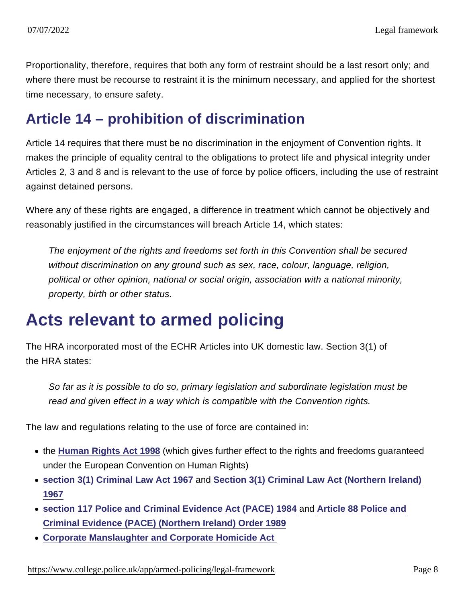Proportionality, therefore, requires that both any form of restraint should be a last resort only; and where there must be recourse to restraint it is the minimum necessary, and applied for the shortest time necessary, to ensure safety.

### Article 14 – prohibition of discrimination

Article 14 requires that there must be no discrimination in the enjoyment of Convention rights. It makes the principle of equality central to the obligations to protect life and physical integrity under Articles 2, 3 and 8 and is relevant to the use of force by police officers, including the use of restraint against detained persons.

Where any of these rights are engaged, a difference in treatment which cannot be objectively and reasonably justified in the circumstances will breach Article 14, which states:

The enjoyment of the rights and freedoms set forth in this Convention shall be secured without discrimination on any ground such as sex, race, colour, language, religion, political or other opinion, national or social origin, association with a national minority, property, birth or other status.

# Acts relevant to armed policing

The HRA incorporated most of the ECHR Articles into UK domestic law. Section 3(1) of the HRA states:

So far as it is possible to do so, primary legislation and subordinate legislation must be read and given effect in a way which is compatible with the Convention rights.

The law and regulations relating to the use of force are contained in:

- the [Human Rights Act 1998](http://www.legislation.gov.uk/ukpga/1998/42/contents) (which gives further effect to the rights and freedoms guaranteed under the European Convention on Human Rights)
- [section 3\(1\) Criminal Law Act 1967](http://www.legislation.gov.uk/ukpga/1967/58/contents) and [Section 3\(1\) Criminal Law Act \(Northern Ireland\)](http://www.legislation.gov.uk/nisi/1989/1341/article/3) [1967](http://www.legislation.gov.uk/nisi/1989/1341/article/3)
- [section 117 Police and Criminal Evidence Act \(PACE\) 1984](http://www.legislation.gov.uk/ukpga/1984/60/section/117) and [Article 88 Police and](http://www.legislation.gov.uk/nisi/1989/1341/contents) [Criminal Evidence \(PACE\) \(Northern Ireland\) Order 1989](http://www.legislation.gov.uk/nisi/1989/1341/contents)
- [Corporate Manslaughter and Corporate Homicide Act](https://www.legislation.gov.uk/ukpga/2007/19/contents)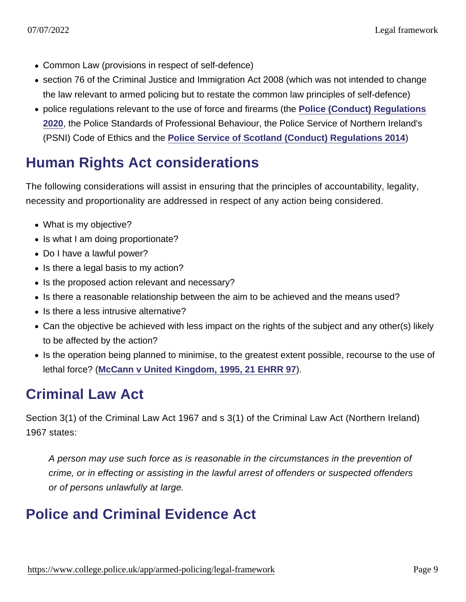- Common Law (provisions in respect of self-defence)
- section 76 of the Criminal Justice and Immigration Act 2008 (which was not intended to change the law relevant to armed policing but to restate the common law principles of self-defence)
- police regulations relevant to the use of force and firearms (the [Police \(Conduct\) Regulations](https://www.legislation.gov.uk/uksi/2020/2/contents/made) [2020](https://www.legislation.gov.uk/uksi/2020/2/contents/made), the Police Standards of Professional Behaviour, the Police Service of Northern Ireland's (PSNI) Code of Ethics and the [Police Service of Scotland \(Conduct\) Regulations 2014](https://www.legislation.gov.uk/ssi/2014/68/contents/made) )

## Human Rights Act considerations

The following considerations will assist in ensuring that the principles of accountability, legality, necessity and proportionality are addressed in respect of any action being considered.

- What is my objective?
- Is what I am doing proportionate?
- Do I have a lawful power?
- Is there a legal basis to my action?
- Is the proposed action relevant and necessary?
- Is there a reasonable relationship between the aim to be achieved and the means used?
- Is there a less intrusive alternative?
- Can the objective be achieved with less impact on the rights of the subject and any other(s) likely to be affected by the action?
- Is the operation being planned to minimise, to the greatest extent possible, recourse to the use of lethal force? [\(McCann v United Kingdom, 1995, 21 EHRR 97](http://hudoc.echr.coe.int/sites/eng/pages/search.aspx?i=001-57943) ).

### Criminal Law Act

Section 3(1) of the Criminal Law Act 1967 and s 3(1) of the Criminal Law Act (Northern Ireland) 1967 states:

A person may use such force as is reasonable in the circumstances in the prevention of crime, or in effecting or assisting in the lawful arrest of offenders or suspected offenders or of persons unlawfully at large.

## Police and Criminal Evidence Act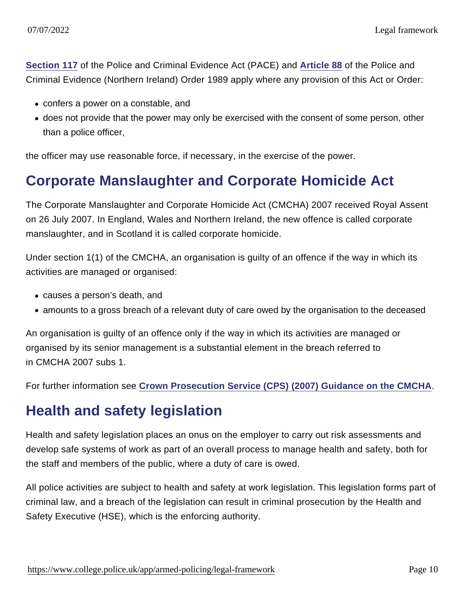[Section 117](http://www.legislation.gov.uk/ukpga/1984/60/section/117) of the Police and Criminal Evidence Act (PACE) and [Article 88](http://www.legislation.gov.uk/nisi/1989/1341/article/3) of the Police and Criminal Evidence (Northern Ireland) Order 1989 apply where any provision of this Act or Order:

- confers a power on a constable, and
- does not provide that the power may only be exercised with the consent of some person, other than a police officer,

the officer may use reasonable force, if necessary, in the exercise of the power.

### Corporate Manslaughter and Corporate Homicide Act

The Corporate Manslaughter and Corporate Homicide Act (CMCHA) 2007 received Royal Assent on 26 July 2007. In England, Wales and Northern Ireland, the new offence is called corporate manslaughter, and in Scotland it is called corporate homicide.

Under section 1(1) of the CMCHA, an organisation is guilty of an offence if the way in which its activities are managed or organised:

- causes a person's death, and
- amounts to a gross breach of a relevant duty of care owed by the organisation to the deceased

An organisation is guilty of an offence only if the way in which its activities are managed or organised by its senior management is a substantial element in the breach referred to in CMCHA 2007 subs 1.

For further information see [Crown Prosecution Service \(CPS\) \(2007\) Guidance on the CMCHA](http://www.cps.gov.uk/legal/a_to_c/corporate_manslaughter/) .

### Health and safety legislation

Health and safety legislation places an onus on the employer to carry out risk assessments and develop safe systems of work as part of an overall process to manage health and safety, both for the staff and members of the public, where a duty of care is owed.

All police activities are subject to health and safety at work legislation. This legislation forms part of criminal law, and a breach of the legislation can result in criminal prosecution by the Health and Safety Executive (HSE), which is the enforcing authority.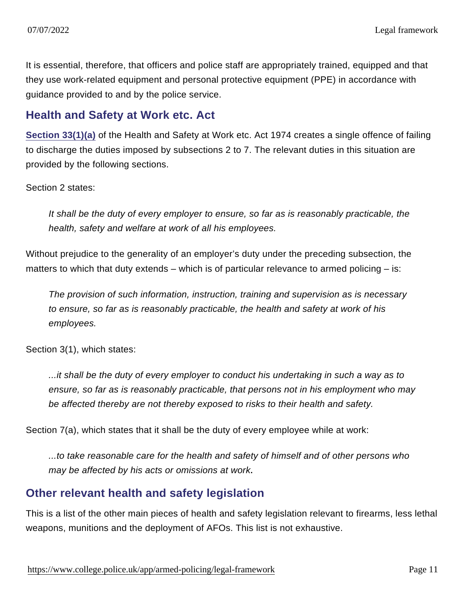It is essential, therefore, that officers and police staff are appropriately trained, equipped and that they use work-related equipment and personal protective equipment (PPE) in accordance with guidance provided to and by the police service.

#### Health and Safety at Work etc. Act

[Section 33\(1\)\(a\)](http://www.legislation.gov.uk/ukpga/1974/37/section/33) of the Health and Safety at Work etc. Act 1974 creates a single offence of failing to discharge the duties imposed by subsections 2 to 7. The relevant duties in this situation are provided by the following sections.

#### Section 2 states:

It shall be the duty of every employer to ensure, so far as is reasonably practicable, the health, safety and welfare at work of all his employees.

Without prejudice to the generality of an employer's duty under the preceding subsection, the matters to which that duty extends – which is of particular relevance to armed policing – is:

The provision of such information, instruction, training and supervision as is necessary to ensure, so far as is reasonably practicable, the health and safety at work of his employees.

Section 3(1), which states:

...it shall be the duty of every employer to conduct his undertaking in such a way as to ensure, so far as is reasonably practicable, that persons not in his employment who may be affected thereby are not thereby exposed to risks to their health and safety.

Section 7(a), which states that it shall be the duty of every employee while at work:

...to take reasonable care for the health and safety of himself and of other persons who may be affected by his acts or omissions at work.

#### Other relevant health and safety legislation

This is a list of the other main pieces of health and safety legislation relevant to firearms, less lethal weapons, munitions and the deployment of AFOs. This list is not exhaustive.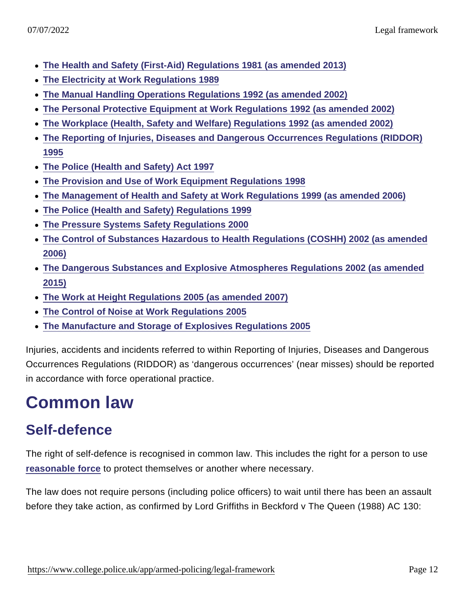- [The Health and Safety \(First-Aid\) Regulations 1981 \(as amended 2013\)](http://www.legislation.gov.uk/uksi/1981/917/made/data.pdf)
- [The Electricity at Work Regulations 1989](http://www.legislation.gov.uk/uksi/1989/635/contents/made)
- [The Manual Handling Operations Regulations 1992 \(as amended 2002\)](http://www.hse.gov.uk/pubns/books/l23.htm)
- [The Personal Protective Equipment at Work Regulations 1992 \(as amended 2002\)](http://www.legislation.gov.uk/uksi/1992/2966/regulation/3/made)
- [The Workplace \(Health, Safety and Welfare\) Regulations 1992 \(as amended 2002\)](http://www.legislation.gov.uk/uksi/1992/3004/contents/made)
- [The Reporting of Injuries, Diseases and Dangerous Occurrences Regulations \(RIDDOR\)](http://www.legislation.gov.uk/uksi/1995/3163/contents/made) [1995](http://www.legislation.gov.uk/uksi/1995/3163/contents/made)
- [The Police \(Health and Safety\) Act 1997](http://www.legislation.gov.uk/ukpga/1997/42/contents)
- [The Provision and Use of Work Equipment Regulations 1998](http://www.legislation.gov.uk/uksi/1998/2306/contents/made)
- [The Management of Health and Safety at Work Regulations 1999 \(as amended 2006\)](http://www.legislation.gov.uk/uksi/1999/3242/contents/made)
- [The Police \(Health and Safety\) Regulations 1999](http://www.legislation.gov.uk/uksi/1999/860/contents/made)
- [The Pressure Systems Safety Regulations 2000](http://www.legislation.gov.uk/uksi/2000/128/contents/made)
- [The Control of Substances Hazardous to Health Regulations \(COSHH\) 2002 \(as amended](http://www.legislation.gov.uk/uksi/2002/2677/contents/made) [2006\)](http://www.legislation.gov.uk/uksi/2002/2677/contents/made)
- [The Dangerous Substances and Explosive Atmospheres Regulations 2002 \(as amended](http://www.legislation.gov.uk/uksi/2002/2776/contents/made) [2015\)](http://www.legislation.gov.uk/uksi/2002/2776/contents/made)
- [The Work at Height Regulations 2005 \(as amended 2007\)](http://www.legislation.gov.uk/uksi/2005/735/contents/made)
- [The Control of Noise at Work Regulations 2005](http://www.legislation.gov.uk/uksi/2005/1643/made)
- [The Manufacture and Storage of Explosives Regulations 2005](http://www.legislation.gov.uk/uksi/2005/1082/contents/made)

Injuries, accidents and incidents referred to within Reporting of Injuries, Diseases and Dangerous Occurrences Regulations (RIDDOR) as 'dangerous occurrences' (near misses) should be reported in accordance with force operational practice.

# Common law

## Self-defence

The right of self-defence is recognised in common law. This includes the right for a person to use [reasonable force](https://www.college.police.uk/app/armed-policing/legal-framework#reasonable-force) to protect themselves or another where necessary.

The law does not require persons (including police officers) to wait until there has been an assault before they take action, as confirmed by Lord Griffiths in Beckford v The Queen (1988) AC 130: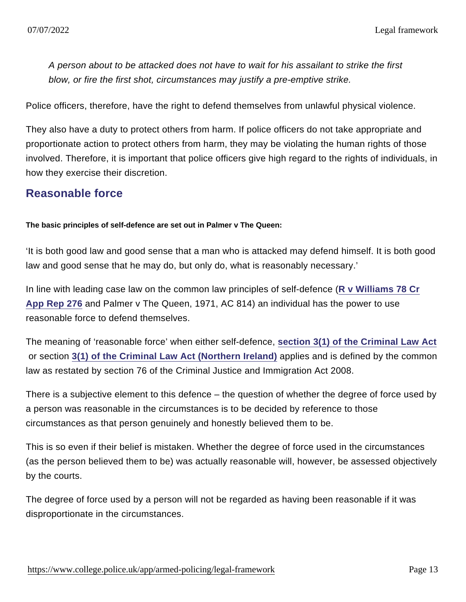A person about to be attacked does not have to wait for his assailant to strike the first blow, or fire the first shot, circumstances may justify a pre-emptive strike.

Police officers, therefore, have the right to defend themselves from unlawful physical violence.

They also have a duty to protect others from harm. If police officers do not take appropriate and proportionate action to protect others from harm, they may be violating the human rights of those involved. Therefore, it is important that police officers give high regard to the rights of individuals, in how they exercise their discretion.

#### Reasonable force

The basic principles of self-defence are set out in Palmer v The Queen:

'It is both good law and good sense that a man who is attacked may defend himself. It is both good law and good sense that he may do, but only do, what is reasonably necessary.'

In line with leading case law on the common law principles of self-defence ([R v Williams 78 Cr](http://www.bailii.org/ew/cases/EWCA/Crim/1983/4.html) [App Rep 276](http://www.bailii.org/ew/cases/EWCA/Crim/1983/4.html) and Palmer v The Queen, 1971, AC 814) an individual has the power to use reasonable force to defend themselves.

The meaning of 'reasonable force' when either self-defence, [section 3\(1\) of the Criminal Law Act](http://www.legislation.gov.uk/ukpga/1967/58/section/3) or section [3\(1\) of the Criminal Law Act \(Northern Ireland\)](http://www.legislation.gov.uk/apni/1967/18/section/3) applies and is defined by the common law as restated by section 76 of the Criminal Justice and Immigration Act 2008.

There is a subjective element to this defence – the question of whether the degree of force used by a person was reasonable in the circumstances is to be decided by reference to those circumstances as that person genuinely and honestly believed them to be.

This is so even if their belief is mistaken. Whether the degree of force used in the circumstances (as the person believed them to be) was actually reasonable will, however, be assessed objectively by the courts.

The degree of force used by a person will not be regarded as having been reasonable if it was disproportionate in the circumstances.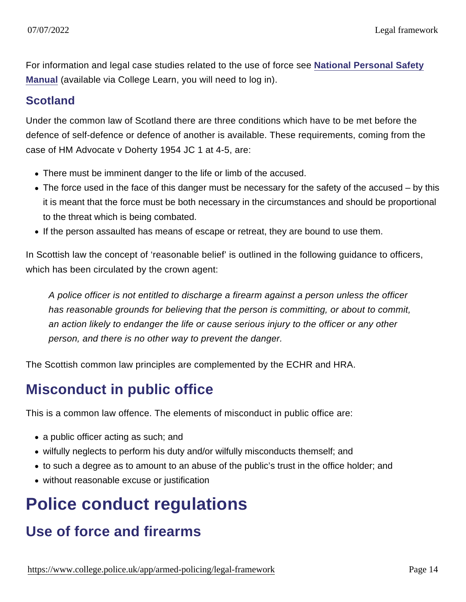For information and legal case studies related to the use of force see [National Personal Safety](http://mle.ncalt.pnn.police.uk/CourseContent/6060/PST.html) [Manual](http://mle.ncalt.pnn.police.uk/CourseContent/6060/PST.html) (available via College Learn, you will need to log in).

#### **Scotland**

Under the common law of Scotland there are three conditions which have to be met before the defence of self-defence or defence of another is available. These requirements, coming from the case of HM Advocate v Doherty 1954 JC 1 at 4-5, are:

- There must be imminent danger to the life or limb of the accused.
- The force used in the face of this danger must be necessary for the safety of the accused by this it is meant that the force must be both necessary in the circumstances and should be proportional to the threat which is being combated.
- If the person assaulted has means of escape or retreat, they are bound to use them.

In Scottish law the concept of 'reasonable belief' is outlined in the following guidance to officers, which has been circulated by the crown agent:

A police officer is not entitled to discharge a firearm against a person unless the officer has reasonable grounds for believing that the person is committing, or about to commit, an action likely to endanger the life or cause serious injury to the officer or any other person, and there is no other way to prevent the danger.

The Scottish common law principles are complemented by the ECHR and HRA.

### Misconduct in public office

This is a common law offence. The elements of misconduct in public office are:

- a public officer acting as such; and
- wilfully neglects to perform his duty and/or wilfully misconducts themself; and
- to such a degree as to amount to an abuse of the public's trust in the office holder; and
- without reasonable excuse or justification

# Police conduct regulations

## Use of force and firearms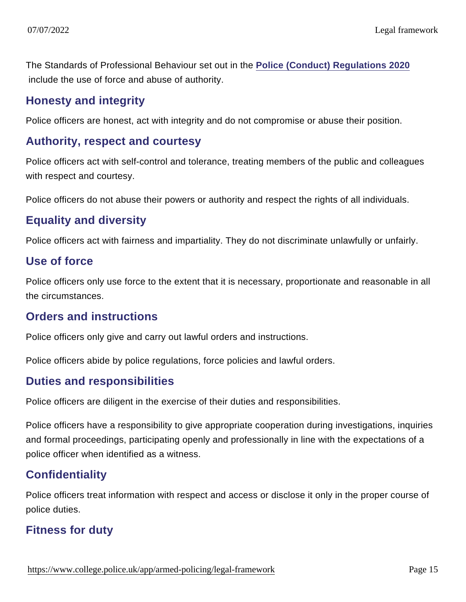The Standards of Professional Behaviour set out in the [Police \(Conduct\) Regulations 2020](https://www.legislation.gov.uk/uksi/2020/2/contents/made) include the use of force and abuse of authority.

#### Honesty and integrity

Police officers are honest, act with integrity and do not compromise or abuse their position.

#### Authority, respect and courtesy

Police officers act with self-control and tolerance, treating members of the public and colleagues with respect and courtesy.

Police officers do not abuse their powers or authority and respect the rights of all individuals.

#### Equality and diversity

Police officers act with fairness and impartiality. They do not discriminate unlawfully or unfairly.

#### Use of force

Police officers only use force to the extent that it is necessary, proportionate and reasonable in all the circumstances.

#### Orders and instructions

Police officers only give and carry out lawful orders and instructions.

Police officers abide by police regulations, force policies and lawful orders.

#### Duties and responsibilities

Police officers are diligent in the exercise of their duties and responsibilities.

Police officers have a responsibility to give appropriate cooperation during investigations, inquiries and formal proceedings, participating openly and professionally in line with the expectations of a police officer when identified as a witness.

#### **Confidentiality**

Police officers treat information with respect and access or disclose it only in the proper course of police duties.

#### Fitness for duty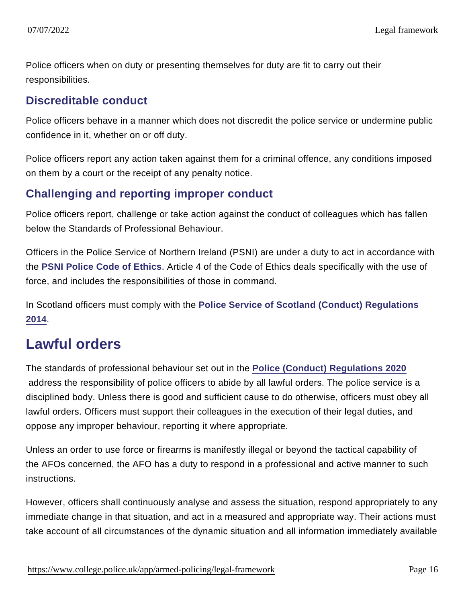Police officers when on duty or presenting themselves for duty are fit to carry out their responsibilities.

#### Discreditable conduct

Police officers behave in a manner which does not discredit the police service or undermine public confidence in it, whether on or off duty.

Police officers report any action taken against them for a criminal offence, any conditions imposed on them by a court or the receipt of any penalty notice.

#### Challenging and reporting improper conduct

Police officers report, challenge or take action against the conduct of colleagues which has fallen below the Standards of Professional Behaviour.

Officers in the Police Service of Northern Ireland (PSNI) are under a duty to act in accordance with the [PSNI Police Code of Ethics](http://www.nipolicingboard.org.uk/final_code_of_ethics-2.pdf) . Article 4 of the Code of Ethics deals specifically with the use of force, and includes the responsibilities of those in command.

In Scotland officers must comply with the [Police Service of Scotland \(Conduct\) Regulations](https://www.legislation.gov.uk/ssi/2014/68/contents/made) [2014](https://www.legislation.gov.uk/ssi/2014/68/contents/made).

### Lawful orders

The standards of professional behaviour set out in the [Police \(Conduct\) Regulations 2020](https://www.legislation.gov.uk/uksi/2020/2/contents/made) address the responsibility of police officers to abide by all lawful orders. The police service is a disciplined body. Unless there is good and sufficient cause to do otherwise, officers must obey all lawful orders. Officers must support their colleagues in the execution of their legal duties, and oppose any improper behaviour, reporting it where appropriate.

Unless an order to use force or firearms is manifestly illegal or beyond the tactical capability of the AFOs concerned, the AFO has a duty to respond in a professional and active manner to such instructions.

However, officers shall continuously analyse and assess the situation, respond appropriately to any immediate change in that situation, and act in a measured and appropriate way. Their actions must take account of all circumstances of the dynamic situation and all information immediately available